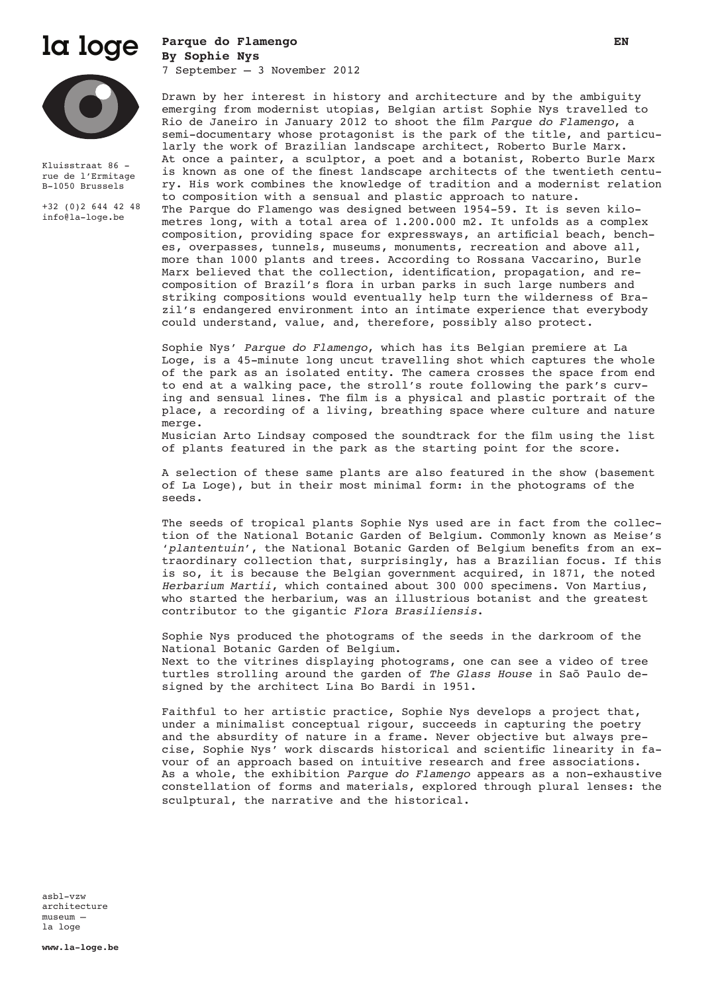

## **Parque do Flamengo EN By Sophie Nys** 7 September – 3 November 2012



Kluisstraat 86 rue de l'Ermitage B-1050 Brussels

+32 (0)2 644 42 48 info@la-loge.be

Drawn by her interest in history and architecture and by the ambiguity emerging from modernist utopias, Belgian artist Sophie Nys travelled to Rio de Janeiro in January 2012 to shoot the film *Parque do Flamengo*, a semi-documentary whose protagonist is the park of the title, and particularly the work of Brazilian landscape architect, Roberto Burle Marx. At once a painter, a sculptor, a poet and a botanist, Roberto Burle Marx is known as one of the finest landscape architects of the twentieth century. His work combines the knowledge of tradition and a modernist relation to composition with a sensual and plastic approach to nature. The Parque do Flamengo was designed between 1954-59. It is seven kilometres long, with a total area of 1.200.000 m2. It unfolds as a complex composition, providing space for expressways, an artificial beach, benches, overpasses, tunnels, museums, monuments, recreation and above all, more than 1000 plants and trees. According to Rossana Vaccarino, Burle Marx believed that the collection, identification, propagation, and recomposition of Brazil's flora in urban parks in such large numbers and striking compositions would eventually help turn the wilderness of Brazil's endangered environment into an intimate experience that everybody could understand, value, and, therefore, possibly also protect.

Sophie Nys' *Parque do Flamengo*, which has its Belgian premiere at La Loge, is a 45-minute long uncut travelling shot which captures the whole of the park as an isolated entity. The camera crosses the space from end to end at a walking pace, the stroll's route following the park's curving and sensual lines. The film is a physical and plastic portrait of the place, a recording of a living, breathing space where culture and nature merge.

Musician Arto Lindsay composed the soundtrack for the film using the list of plants featured in the park as the starting point for the score.

A selection of these same plants are also featured in the show (basement of La Loge), but in their most minimal form: in the photograms of the seeds.

The seeds of tropical plants Sophie Nys used are in fact from the collection of the National Botanic Garden of Belgium. Commonly known as Meise's '*plantentuin*', the National Botanic Garden of Belgium benefits from an extraordinary collection that, surprisingly, has a Brazilian focus. If this is so, it is because the Belgian government acquired, in 1871, the noted *Herbarium Martii*, which contained about 300 000 specimens. Von Martius, who started the herbarium, was an illustrious botanist and the greatest contributor to the gigantic *Flora Brasiliensis*.

Sophie Nys produced the photograms of the seeds in the darkroom of the National Botanic Garden of Belgium. Next to the vitrines displaying photograms, one can see a video of tree turtles strolling around the garden of *The Glass House* in Saõ Paulo designed by the architect Lina Bo Bardi in 1951.

Faithful to her artistic practice, Sophie Nys develops a project that, under a minimalist conceptual rigour, succeeds in capturing the poetry and the absurdity of nature in a frame. Never objective but always precise, Sophie Nys' work discards historical and scientific linearity in favour of an approach based on intuitive research and free associations. As a whole, the exhibition *Parque do Flamengo* appears as a non-exhaustive constellation of forms and materials, explored through plural lenses: the sculptural, the narrative and the historical.

asbl-vzw architecture museum – la loge